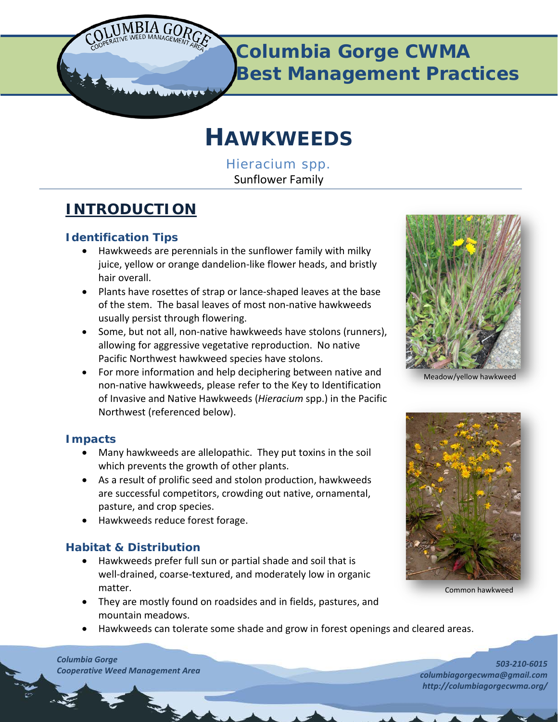

**Columbia Gorge CWMA Best Management Practices**

# **HAWKWEEDS**

*Hieracium* spp*.* Sunflower Family

# **INTRODUCTION**

# **Identification Tips**

- Hawkweeds are perennials in the sunflower family with milky juice, yellow or orange dandelion‐like flower heads, and bristly hair overall.
- Plants have rosettes of strap or lance‐shaped leaves at the base of the stem. The basal leaves of most non‐native hawkweeds usually persist through flowering.
- Some, but not all, non‐native hawkweeds have stolons (runners), allowing for aggressive vegetative reproduction. No native Pacific Northwest hawkweed species have stolons.
- For more information and help deciphering between native and non-native hawkweeds, please refer to the Key to Identification of Invasive and Native Hawkweeds (*Hieracium* spp.) in the Pacific Northwest (referenced below).

# **Impacts**

- Many hawkweeds are allelopathic. They put toxins in the soil which prevents the growth of other plants.
- As a result of prolific seed and stolon production, hawkweeds are successful competitors, crowding out native, ornamental, pasture, and crop species.
- Hawkweeds reduce forest forage.

# **Habitat & Distribution**

- Hawkweeds prefer full sun or partial shade and soil that is well-drained, coarse-textured, and moderately low in organic matter.
- They are mostly found on roadsides and in fields, pastures, and mountain meadows.
- Hawkweeds can tolerate some shade and grow in forest openings and cleared areas.

Meadow/yellow hawkweed



Common hawkweed

*Columbia Gorge Cooperative Weed Management Area*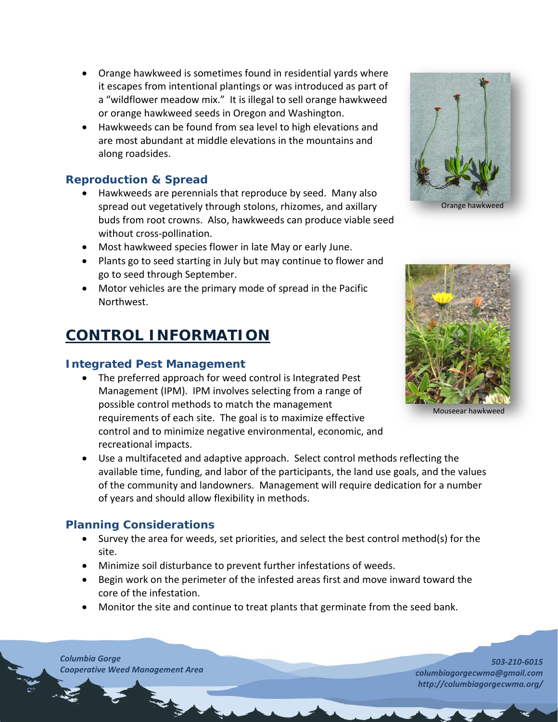- Orange hawkweed is sometimes found in residential yards where it escapes from intentional plantings or was introduced as part of a "wildflower meadow mix." It is illegal to sell orange hawkweed or orange hawkweed seeds in Oregon and Washington.
- Hawkweeds can be found from sea level to high elevations and are most abundant at middle elevations in the mountains and along roadsides.

#### **Reproduction & Spread**

- Hawkweeds are perennials that reproduce by seed. Many also spread out vegetatively through stolons, rhizomes, and axillary buds from root crowns. Also, hawkweeds can produce viable seed without cross-pollination.
- Most hawkweed species flower in late May or early June.
- Plants go to seed starting in July but may continue to flower and go to seed through September.
- Motor vehicles are the primary mode of spread in the Pacific Northwest.

# **CONTROL INFORMATION**

## **Integrated Pest Management**

- The preferred approach for weed control is Integrated Pest Management (IPM). IPM involves selecting from a range of possible control methods to match the management requirements of each site. The goal is to maximize effective control and to minimize negative environmental, economic, and recreational impacts.
- Use a multifaceted and adaptive approach. Select control methods reflecting the available time, funding, and labor of the participants, the land use goals, and the values of the community and landowners. Management will require dedication for a number of years and should allow flexibility in methods.

## **Planning Considerations**

- Survey the area for weeds, set priorities, and select the best control method(s) for the site.
- Minimize soil disturbance to prevent further infestations of weeds.
- Begin work on the perimeter of the infested areas first and move inward toward the core of the infestation.
- Monitor the site and continue to treat plants that germinate from the seed bank.

*Columbia Gorge Cooperative Weed Management Area*

Orange hawkweed



Mouseear hawkweed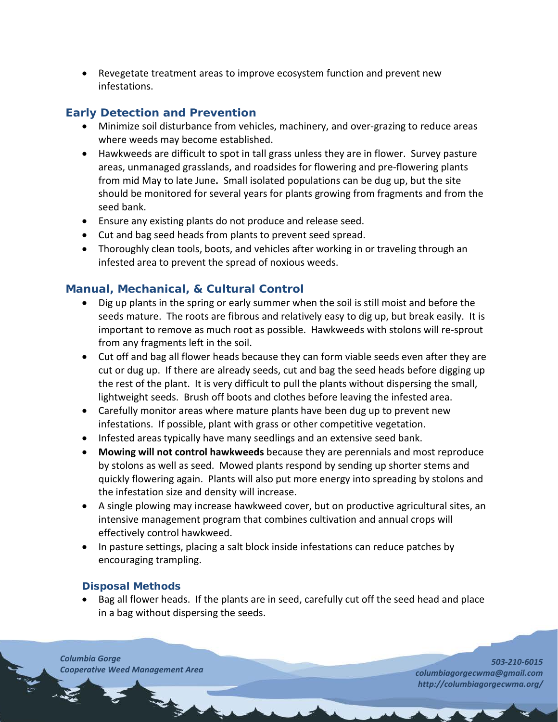• Revegetate treatment areas to improve ecosystem function and prevent new infestations.

# **Early Detection and Prevention**

- Minimize soil disturbance from vehicles, machinery, and over-grazing to reduce areas where weeds may become established.
- Hawkweeds are difficult to spot in tall grass unless they are in flower. Survey pasture areas, unmanaged grasslands, and roadsides for flowering and pre‐flowering plants from mid May to late June**.** Small isolated populations can be dug up, but the site should be monitored for several years for plants growing from fragments and from the seed bank.
- Ensure any existing plants do not produce and release seed.
- Cut and bag seed heads from plants to prevent seed spread.
- Thoroughly clean tools, boots, and vehicles after working in or traveling through an infested area to prevent the spread of noxious weeds.

# **Manual, Mechanical, & Cultural Control**

- Dig up plants in the spring or early summer when the soil is still moist and before the seeds mature. The roots are fibrous and relatively easy to dig up, but break easily. It is important to remove as much root as possible. Hawkweeds with stolons will re‐sprout from any fragments left in the soil.
- Cut off and bag all flower heads because they can form viable seeds even after they are cut or dug up. If there are already seeds, cut and bag the seed heads before digging up the rest of the plant. It is very difficult to pull the plants without dispersing the small, lightweight seeds. Brush off boots and clothes before leaving the infested area.
- Carefully monitor areas where mature plants have been dug up to prevent new infestations. If possible, plant with grass or other competitive vegetation.
- Infested areas typically have many seedlings and an extensive seed bank.
- **Mowing will not control hawkweeds** because they are perennials and most reproduce by stolons as well as seed. Mowed plants respond by sending up shorter stems and quickly flowering again. Plants will also put more energy into spreading by stolons and the infestation size and density will increase.
- A single plowing may increase hawkweed cover, but on productive agricultural sites, an intensive management program that combines cultivation and annual crops will effectively control hawkweed.
- In pasture settings, placing a salt block inside infestations can reduce patches by encouraging trampling.

#### **Disposal Methods**

• Bag all flower heads. If the plants are in seed, carefully cut off the seed head and place in a bag without dispersing the seeds.

*Columbia Gorge Cooperative Weed Management Area*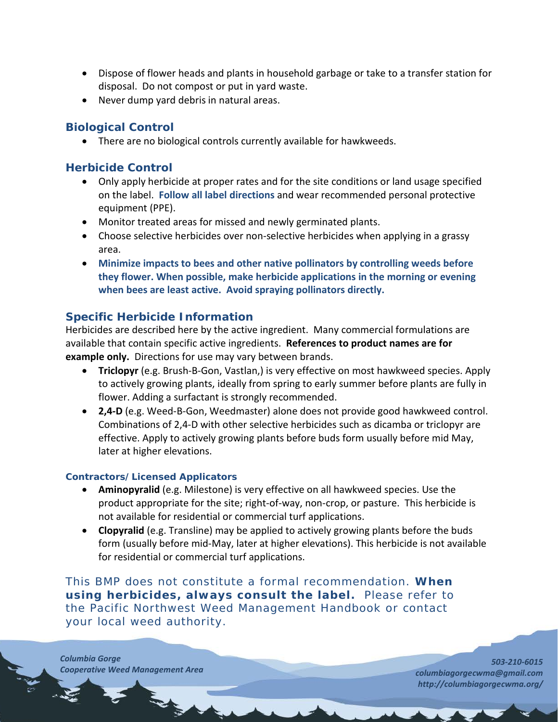- Dispose of flower heads and plants in household garbage or take to a transfer station for disposal. Do not compost or put in yard waste.
- Never dump yard debris in natural areas.

## **Biological Control**

• There are no biological controls currently available for hawkweeds.

#### **Herbicide Control**

- Only apply herbicide at proper rates and for the site conditions or land usage specified on the label. **Follow all label directions** and wear recommended personal protective equipment (PPE).
- Monitor treated areas for missed and newly germinated plants.
- Choose selective herbicides over non-selective herbicides when applying in a grassy area.
- **Minimize impacts to bees and other native pollinators by controlling weeds before they flower. When possible, make herbicide applications in the morning or evening when bees are least active. Avoid spraying pollinators directly.**

## **Specific Herbicide Information**

Herbicides are described here by the active ingredient. Many commercial formulations are available that contain specific active ingredients. **References to product names are for example only.**Directions for use may vary between brands.

- **Triclopyr** (e.g. Brush‐B‐Gon, Vastlan,) is very effective on most hawkweed species. Apply to actively growing plants, ideally from spring to early summer before plants are fully in flower. Adding a surfactant is strongly recommended.
- **2,4‐D** (e.g. Weed‐B‐Gon, Weedmaster) alone does not provide good hawkweed control. Combinations of 2,4‐D with other selective herbicides such as dicamba or triclopyr are effective. Apply to actively growing plants before buds form usually before mid May, later at higher elevations.

#### **Contractors/Licensed Applicators**

- **Aminopyralid** (e.g. Milestone) is very effective on all hawkweed species. Use the product appropriate for the site; right‐of‐way, non‐crop, or pasture. This herbicide is not available for residential or commercial turf applications.
- **Clopyralid** (e.g. Transline) may be applied to actively growing plants before the buds form (usually before mid‐May, later at higher elevations). This herbicide is not available for residential or commercial turf applications.

This BMP does not constitute a formal recommendation. **When using herbicides, always consult the label.** Please refer to the *[Pacific Northwest Weed Management Handbook](http://pnwhandbooks.org/weed/other-items/control-problem-weeds)* or contact your [local](http://www.nwcb.wa.gov/nwcb_county.htm) weed authority.

*Columbia Gorge Cooperative Weed Management Area*